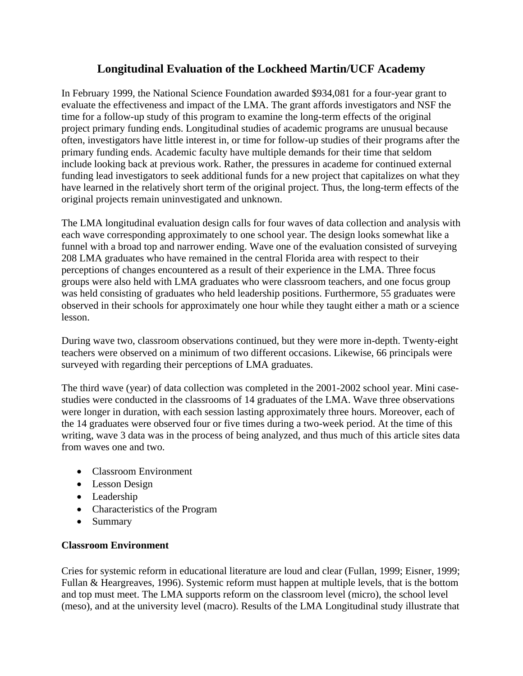# **Longitudinal Evaluation of the Lockheed Martin/UCF Academy**

In February 1999, the National Science Foundation awarded \$934,081 for a four-year grant to evaluate the effectiveness and impact of the LMA. The grant affords investigators and NSF the time for a follow-up study of this program to examine the long-term effects of the original project primary funding ends. Longitudinal studies of academic programs are unusual because often, investigators have little interest in, or time for follow-up studies of their programs after the primary funding ends. Academic faculty have multiple demands for their time that seldom include looking back at previous work. Rather, the pressures in academe for continued external funding lead investigators to seek additional funds for a new project that capitalizes on what they have learned in the relatively short term of the original project. Thus, the long-term effects of the original projects remain uninvestigated and unknown.

The LMA longitudinal evaluation design calls for four waves of data collection and analysis with each wave corresponding approximately to one school year. The design looks somewhat like a funnel with a broad top and narrower ending. Wave one of the evaluation consisted of surveying 208 LMA graduates who have remained in the central Florida area with respect to their perceptions of changes encountered as a result of their experience in the LMA. Three focus groups were also held with LMA graduates who were classroom teachers, and one focus group was held consisting of graduates who held leadership positions. Furthermore, 55 graduates were observed in their schools for approximately one hour while they taught either a math or a science lesson.

During wave two, classroom observations continued, but they were more in-depth. Twenty-eight teachers were observed on a minimum of two different occasions. Likewise, 66 principals were surveyed with regarding their perceptions of LMA graduates.

The third wave (year) of data collection was completed in the 2001-2002 school year. Mini casestudies were conducted in the classrooms of 14 graduates of the LMA. Wave three observations were longer in duration, with each session lasting approximately three hours. Moreover, each of the 14 graduates were observed four or five times during a two-week period. At the time of this writing, wave 3 data was in the process of being analyzed, and thus much of this article sites data from waves one and two.

- Classroom Environment
- Lesson Design
- Leadership
- Characteristics of the Program
- Summary

## **Classroom Environment**

Cries for systemic reform in educational literature are loud and clear (Fullan, 1999; Eisner, 1999; Fullan & Heargreaves, 1996). Systemic reform must happen at multiple levels, that is the bottom and top must meet. The LMA supports reform on the classroom level (micro), the school level (meso), and at the university level (macro). Results of the LMA Longitudinal study illustrate that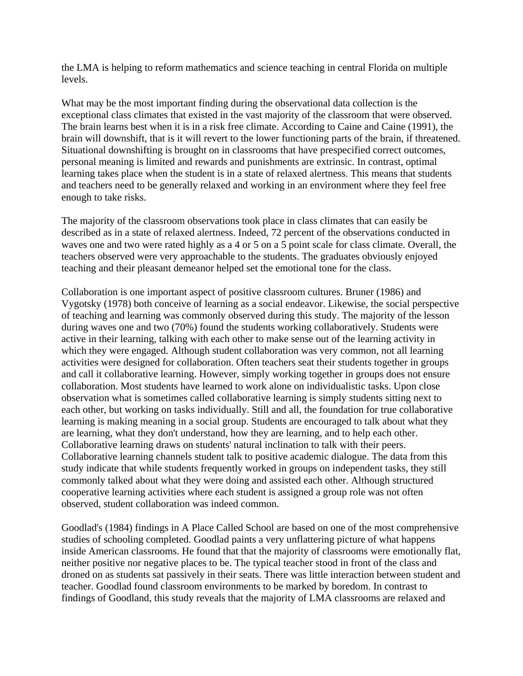the LMA is helping to reform mathematics and science teaching in central Florida on multiple levels.

What may be the most important finding during the observational data collection is the exceptional class climates that existed in the vast majority of the classroom that were observed. The brain learns best when it is in a risk free climate. According to Caine and Caine (1991), the brain will downshift, that is it will revert to the lower functioning parts of the brain, if threatened. Situational downshifting is brought on in classrooms that have prespecified correct outcomes, personal meaning is limited and rewards and punishments are extrinsic. In contrast, optimal learning takes place when the student is in a state of relaxed alertness. This means that students and teachers need to be generally relaxed and working in an environment where they feel free enough to take risks.

The majority of the classroom observations took place in class climates that can easily be described as in a state of relaxed alertness. Indeed, 72 percent of the observations conducted in waves one and two were rated highly as a 4 or 5 on a 5 point scale for class climate. Overall, the teachers observed were very approachable to the students. The graduates obviously enjoyed teaching and their pleasant demeanor helped set the emotional tone for the class.

Collaboration is one important aspect of positive classroom cultures. Bruner (1986) and Vygotsky (1978) both conceive of learning as a social endeavor. Likewise, the social perspective of teaching and learning was commonly observed during this study. The majority of the lesson during waves one and two (70%) found the students working collaboratively. Students were active in their learning, talking with each other to make sense out of the learning activity in which they were engaged. Although student collaboration was very common, not all learning activities were designed for collaboration. Often teachers seat their students together in groups and call it collaborative learning. However, simply working together in groups does not ensure collaboration. Most students have learned to work alone on individualistic tasks. Upon close observation what is sometimes called collaborative learning is simply students sitting next to each other, but working on tasks individually. Still and all, the foundation for true collaborative learning is making meaning in a social group. Students are encouraged to talk about what they are learning, what they don't understand, how they are learning, and to help each other. Collaborative learning draws on students' natural inclination to talk with their peers. Collaborative learning channels student talk to positive academic dialogue. The data from this study indicate that while students frequently worked in groups on independent tasks, they still commonly talked about what they were doing and assisted each other. Although structured cooperative learning activities where each student is assigned a group role was not often observed, student collaboration was indeed common.

Goodlad's (1984) findings in A Place Called School are based on one of the most comprehensive studies of schooling completed. Goodlad paints a very unflattering picture of what happens inside American classrooms. He found that that the majority of classrooms were emotionally flat, neither positive nor negative places to be. The typical teacher stood in front of the class and droned on as students sat passively in their seats. There was little interaction between student and teacher. Goodlad found classroom environments to be marked by boredom. In contrast to findings of Goodland, this study reveals that the majority of LMA classrooms are relaxed and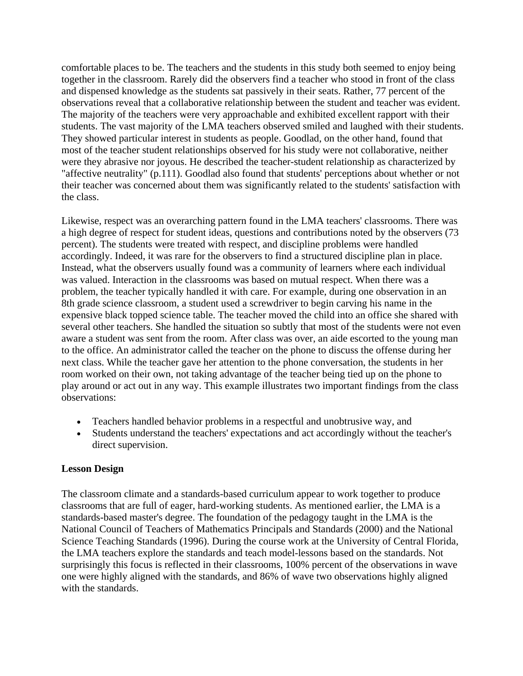comfortable places to be. The teachers and the students in this study both seemed to enjoy being together in the classroom. Rarely did the observers find a teacher who stood in front of the class and dispensed knowledge as the students sat passively in their seats. Rather, 77 percent of the observations reveal that a collaborative relationship between the student and teacher was evident. The majority of the teachers were very approachable and exhibited excellent rapport with their students. The vast majority of the LMA teachers observed smiled and laughed with their students. They showed particular interest in students as people. Goodlad, on the other hand, found that most of the teacher student relationships observed for his study were not collaborative, neither were they abrasive nor joyous. He described the teacher-student relationship as characterized by "affective neutrality" (p.111). Goodlad also found that students' perceptions about whether or not their teacher was concerned about them was significantly related to the students' satisfaction with the class.

Likewise, respect was an overarching pattern found in the LMA teachers' classrooms. There was a high degree of respect for student ideas, questions and contributions noted by the observers (73 percent). The students were treated with respect, and discipline problems were handled accordingly. Indeed, it was rare for the observers to find a structured discipline plan in place. Instead, what the observers usually found was a community of learners where each individual was valued. Interaction in the classrooms was based on mutual respect. When there was a problem, the teacher typically handled it with care. For example, during one observation in an 8th grade science classroom, a student used a screwdriver to begin carving his name in the expensive black topped science table. The teacher moved the child into an office she shared with several other teachers. She handled the situation so subtly that most of the students were not even aware a student was sent from the room. After class was over, an aide escorted to the young man to the office. An administrator called the teacher on the phone to discuss the offense during her next class. While the teacher gave her attention to the phone conversation, the students in her room worked on their own, not taking advantage of the teacher being tied up on the phone to play around or act out in any way. This example illustrates two important findings from the class observations:

- Teachers handled behavior problems in a respectful and unobtrusive way, and
- Students understand the teachers' expectations and act accordingly without the teacher's direct supervision.

#### **Lesson Design**

The classroom climate and a standards-based curriculum appear to work together to produce classrooms that are full of eager, hard-working students. As mentioned earlier, the LMA is a standards-based master's degree. The foundation of the pedagogy taught in the LMA is the National Council of Teachers of Mathematics Principals and Standards (2000) and the National Science Teaching Standards (1996). During the course work at the University of Central Florida, the LMA teachers explore the standards and teach model-lessons based on the standards. Not surprisingly this focus is reflected in their classrooms, 100% percent of the observations in wave one were highly aligned with the standards, and 86% of wave two observations highly aligned with the standards.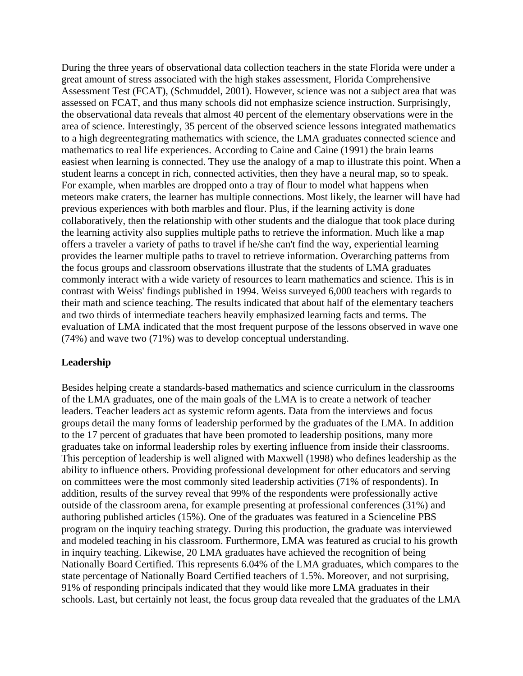During the three years of observational data collection teachers in the state Florida were under a great amount of stress associated with the high stakes assessment, Florida Comprehensive Assessment Test (FCAT), (Schmuddel, 2001). However, science was not a subject area that was assessed on FCAT, and thus many schools did not emphasize science instruction. Surprisingly, the observational data reveals that almost 40 percent of the elementary observations were in the area of science. Interestingly, 35 percent of the observed science lessons integrated mathematics to a high degreentegrating mathematics with science, the LMA graduates connected science and mathematics to real life experiences. According to Caine and Caine (1991) the brain learns easiest when learning is connected. They use the analogy of a map to illustrate this point. When a student learns a concept in rich, connected activities, then they have a neural map, so to speak. For example, when marbles are dropped onto a tray of flour to model what happens when meteors make craters, the learner has multiple connections. Most likely, the learner will have had previous experiences with both marbles and flour. Plus, if the learning activity is done collaboratively, then the relationship with other students and the dialogue that took place during the learning activity also supplies multiple paths to retrieve the information. Much like a map offers a traveler a variety of paths to travel if he/she can't find the way, experiential learning provides the learner multiple paths to travel to retrieve information. Overarching patterns from the focus groups and classroom observations illustrate that the students of LMA graduates commonly interact with a wide variety of resources to learn mathematics and science. This is in contrast with Weiss' findings published in 1994. Weiss surveyed 6,000 teachers with regards to their math and science teaching. The results indicated that about half of the elementary teachers and two thirds of intermediate teachers heavily emphasized learning facts and terms. The evaluation of LMA indicated that the most frequent purpose of the lessons observed in wave one (74%) and wave two (71%) was to develop conceptual understanding.

#### **Leadership**

Besides helping create a standards-based mathematics and science curriculum in the classrooms of the LMA graduates, one of the main goals of the LMA is to create a network of teacher leaders. Teacher leaders act as systemic reform agents. Data from the interviews and focus groups detail the many forms of leadership performed by the graduates of the LMA. In addition to the 17 percent of graduates that have been promoted to leadership positions, many more graduates take on informal leadership roles by exerting influence from inside their classrooms. This perception of leadership is well aligned with Maxwell (1998) who defines leadership as the ability to influence others. Providing professional development for other educators and serving on committees were the most commonly sited leadership activities (71% of respondents). In addition, results of the survey reveal that 99% of the respondents were professionally active outside of the classroom arena, for example presenting at professional conferences (31%) and authoring published articles (15%). One of the graduates was featured in a Scienceline PBS program on the inquiry teaching strategy. During this production, the graduate was interviewed and modeled teaching in his classroom. Furthermore, LMA was featured as crucial to his growth in inquiry teaching. Likewise, 20 LMA graduates have achieved the recognition of being Nationally Board Certified. This represents 6.04% of the LMA graduates, which compares to the state percentage of Nationally Board Certified teachers of 1.5%. Moreover, and not surprising, 91% of responding principals indicated that they would like more LMA graduates in their schools. Last, but certainly not least, the focus group data revealed that the graduates of the LMA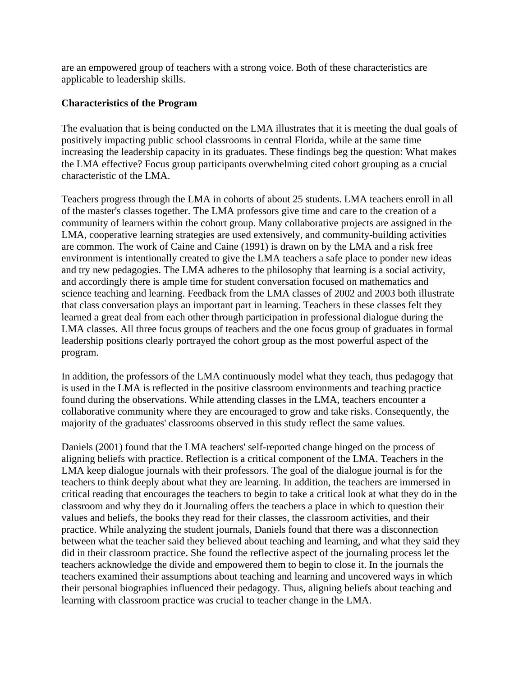are an empowered group of teachers with a strong voice. Both of these characteristics are applicable to leadership skills.

### **Characteristics of the Program**

The evaluation that is being conducted on the LMA illustrates that it is meeting the dual goals of positively impacting public school classrooms in central Florida, while at the same time increasing the leadership capacity in its graduates. These findings beg the question: What makes the LMA effective? Focus group participants overwhelming cited cohort grouping as a crucial characteristic of the LMA.

Teachers progress through the LMA in cohorts of about 25 students. LMA teachers enroll in all of the master's classes together. The LMA professors give time and care to the creation of a community of learners within the cohort group. Many collaborative projects are assigned in the LMA, cooperative learning strategies are used extensively, and community-building activities are common. The work of Caine and Caine (1991) is drawn on by the LMA and a risk free environment is intentionally created to give the LMA teachers a safe place to ponder new ideas and try new pedagogies. The LMA adheres to the philosophy that learning is a social activity, and accordingly there is ample time for student conversation focused on mathematics and science teaching and learning. Feedback from the LMA classes of 2002 and 2003 both illustrate that class conversation plays an important part in learning. Teachers in these classes felt they learned a great deal from each other through participation in professional dialogue during the LMA classes. All three focus groups of teachers and the one focus group of graduates in formal leadership positions clearly portrayed the cohort group as the most powerful aspect of the program.

In addition, the professors of the LMA continuously model what they teach, thus pedagogy that is used in the LMA is reflected in the positive classroom environments and teaching practice found during the observations. While attending classes in the LMA, teachers encounter a collaborative community where they are encouraged to grow and take risks. Consequently, the majority of the graduates' classrooms observed in this study reflect the same values.

Daniels (2001) found that the LMA teachers' self-reported change hinged on the process of aligning beliefs with practice. Reflection is a critical component of the LMA. Teachers in the LMA keep dialogue journals with their professors. The goal of the dialogue journal is for the teachers to think deeply about what they are learning. In addition, the teachers are immersed in critical reading that encourages the teachers to begin to take a critical look at what they do in the classroom and why they do it Journaling offers the teachers a place in which to question their values and beliefs, the books they read for their classes, the classroom activities, and their practice. While analyzing the student journals, Daniels found that there was a disconnection between what the teacher said they believed about teaching and learning, and what they said they did in their classroom practice. She found the reflective aspect of the journaling process let the teachers acknowledge the divide and empowered them to begin to close it. In the journals the teachers examined their assumptions about teaching and learning and uncovered ways in which their personal biographies influenced their pedagogy. Thus, aligning beliefs about teaching and learning with classroom practice was crucial to teacher change in the LMA.